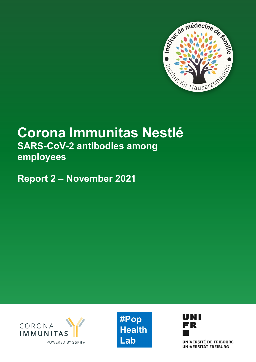

# **Corona Immunitas Nestlé SARS-CoV-2 antibodies among employees**

**Report 2 – November 2021**







UNIVERSITÉ DE FRIBOURG **UNIVERSITÄT FREIBURG**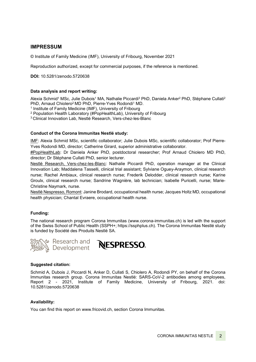### **IMPRESSUM**

© Institute of Family Medicine (IMF), University of Fribourg, November 2021

Reproduction authorized, except for commercial purposes, if the reference is mentioned.

**DOI:** 10.5281/zenodo.5720638

#### **Data analysis and report writing:**

Alexia Schmid<sup>1</sup> MSc, Julie Dubois<sup>1</sup> MA, Nathalie Piccardi<sup>3</sup> PhD, Daniela Anker<sup>2</sup> PhD, Stéphane Cullati<sup>2</sup> PhD, Arnaud Chiolero<sup>2</sup> MD PhD, Pierre-Yves Rodondi<sup>1</sup> MD.

<sup>1</sup> Institute of Family Medicine (IMF), University of Fribourg

<sup>2</sup> Population Health Laboratory (#PopHealthLab), University of Fribourg

3 Clinical Innovation Lab, Nestlé Research, Vers-chez-les-Blanc

#### **Conduct of the Corona Immunitas Nestlé study:**

IMF: Alexia Schmid MSc, scientific collaborator; Julie Dubois MSc, scientific collaborator; Prof Pierre-Yves Rodondi MD, director; Catherine Girard, superior administrative collaborator.

#PopHealthLab: Dr Daniela Anker PhD, postdoctoral researcher; Prof Arnaud Chiolero MD PhD, director; Dr Stéphane Cullati PhD, senior lecturer.

Nestlé Research, Vers-chez-les-Blanc: Nathalie Piccardi PhD, operation manager at the Clinical Innovation Lab; Maddalena Tasselli, clinical trial assistant; Sylviane Oguey-Araymon, clinical research nurse; Rachel Ambiaux, clinical research nurse; Frederik Delodder, clinical research nurse; Karine Groulx, clinical research nurse; Sandrine Wagnière, lab technician; Isabelle Puricelli, nurse; Marie-Christine Naymark, nurse.

Nestlé Nespresso, Romont: Janine Brodard, occupational health nurse; Jacques Holtz MD, occupational health physician; Chantal Evraere, occupational health nurse.

#### **Funding:**

The national research program Corona Immunitas [\(www.corona-immunitas.ch\)](http://www.corona-immunitas.ch/) is led with the support of the Swiss School of Public Health (SSPH+; [https://ssphplus.ch\)](https://ssphplus.ch/). The Corona Immunitas Nestlé study is funded by Société des Produits Nestlé SA.





#### **Suggested citation:**

Schmid A, Dubois J, Piccardi N, Anker D, Cullati S, Chiolero A, Rodondi PY, on behalf of the Corona Immunitas research group. Corona Immunitas Nestlé: SARS-CoV-2 antibodies among employees, Report 2 - 2021, Institute of Family Medicine, University of Fribourg, 2021. doi: 10.5281/zenodo.5720638

#### **Availability:**

You can find this report on www.fricovid.ch, section Corona Immunitas.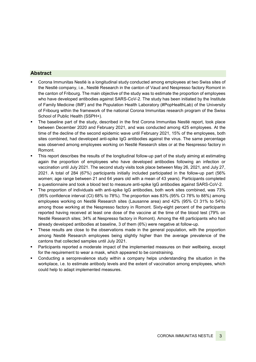### **Abstract**

- Corona Immunitas Nestlé is a longitudinal study conducted among employees at two Swiss sites of the Nestlé company, i.e., Nestlé Research in the canton of Vaud and Nespresso factory Romont in the canton of Fribourg. The main objective of the study was to estimate the proportion of employees who have developed antibodies against SARS-CoV-2. The study has been initiated by the Institute of Family Medicine (IMF) and the Population Health Laboratory (#PopHealthLab) of the University of Fribourg within the framework of the national Corona Immunitas research program of the Swiss School of Public Health (SSPH+).
- The baseline part of the study, described in the first Corona Immunitas Nestlé report, took place between December 2020 and February 2021, and was conducted among 425 employees. At the time of the decline of the second epidemic wave until February 2021, 15% of the employees, both sites combined, had developed anti-spike IgG antibodies against the virus. The same percentage was observed among employees working on Nestlé Research sites or at the Nespresso factory in Romont.
- This report describes the results of the longitudinal follow-up part of the study aiming at estimating again the proportion of employees who have developed antibodies following an infection or vaccination until July 2021. The second study visits took place between May 26, 2021, and July 27, 2021. A total of 284 (67%) participants initially included participated in the follow-up part (56% women; age range between 21 and 64 years old with a mean of 43 years). Participants completed a questionnaire and took a blood test to measure anti-spike IgG antibodies against SARS-CoV-2.
- The proportion of individuals with anti-spike IgG antibodies, both work sites combined, was 73% (95% confidence interval (CI) 68% to 78%). The proportion was 83% (95% CI 78% to 88%) among employees working on Nestlé Research sites (Lausanne area) and 42% (95% CI 31% to 54%) among those working at the Nespresso factory in Romont. Sixty-eight percent of the participants reported having received at least one dose of the vaccine at the time of the blood test (79% on Nestlé Research sites; 34% at Nespresso factory in Romont). Among the 48 participants who had already developed antibodies at baseline, 3 of them (6%) were negative at follow-up.
- These results are close to the observations made in the general population, with the proportion among Nestlé Research employees being slightly higher than the average prevalence of the cantons that collected samples until July 2021.
- Participants reported a moderate impact of the implemented measures on their wellbeing, except for the requirement to wear a mask, which appeared to be constraining.
- Conducting a seroprevalence study within a company helps understanding the situation in the workplace, i.e. to estimate antibody levels and the extent of vaccination among employees, which could help to adapt implemented measures.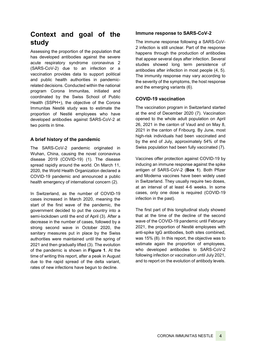# **Context and goal of the study**

Assessing the proportion of the population that has developed antibodies against the severe acute respiratory syndrome coronavirus 2 (SARS-CoV-2) due to an infection or a vaccination provides data to support political and public health authorities in pandemicrelated decisions. Conducted within the national program Corona Immunitas, initiated and coordinated by the Swiss School of Public Health (SSPH+), the objective of the Corona Immunitas Nestlé study was to estimate the proportion of Nestlé employees who have developed antibodies against SARS-CoV-2 at two points in time.

### **A brief history of the pandemic**

The SARS-CoV-2 pandemic originated in Wuhan, China, causing the novel coronavirus disease 2019 (COVID-19) (1). The disease spread rapidly around the world. On March 11, 2020, the World Health Organization declared a COVID-19 pandemic and announced a public health emergency of international concern (2).

In Switzerland, as the number of COVID-19 cases increased in March 2020, meaning the start of the first wave of the pandemic, the government decided to put the country into a semi-lockdown until the end of April (3). After a decrease in the number of cases, followed by a strong second wave in October 2020, the sanitary measures put in place by the Swiss authorities were maintained until the spring of 2021 and then gradually lifted (3). The evolution of the pandemic is shown in **Figure 1**. At the time of writing this report, after a peak in August due to the rapid spread of the delta variant, rates of new infections have begun to decline.

### **Immune response to SARS-CoV-2**

The immune response following a SARS-CoV-2 infection is still unclear. Part of the response happens through the production of antibodies that appear several days after infection. Several studies showed long term persistence of antibodies after infection in most people (4, 5). The immunity response may vary according to the severity of the symptoms, the host response and the emerging variants (6).

### **COVID-19 vaccination**

The vaccination program in Switzerland started at the end of December 2020 (7). Vaccination opened to the whole adult population on April 26, 2021 in the canton of Vaud and on May 8, 2021 in the canton of Fribourg. By June, most high-risk individuals had been vaccinated and by the end of July, approximately 54% of the Swiss population had been fully vaccinated (7).

Vaccines offer protection against COVID-19 by inducing an immune response against the spike antigen of SARS-CoV-2 (**Box 1**). Both Pfizer and Moderna vaccines have been widely used in Switzerland. They usually require two doses, at an interval of at least 4-6 weeks. In some cases, only one dose is required (COVID-19 infection in the past).

The first part of this longitudinal study showed that at the time of the decline of the second wave of the COVID-19 pandemic until February 2021, the proportion of Nestlé employees with anti-spike IgG antibodies, both sites combined, was 15% (8). In this report, the objective was to estimate again the proportion of employees, who developed antibodies to SARS-CoV-2 following infection or vaccination until July 2021, and to report on the evolution of antibody levels.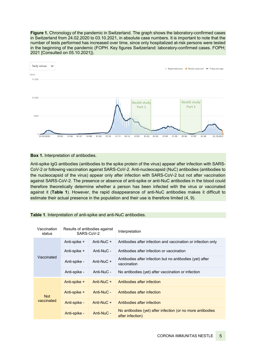**Figure 1.** Chronology of the pandemic in Switzerland. The graph shows the laboratory-confirmed cases in Switzerland from 24.02.2020 to 03.10.2021, in absolute case numbers. It is important to note that the number of tests performed has increased over time, since only hospitalized at-risk persons were tested in the beginning of the pandemic (FOPH. Key figures Switzerland: laboratory-confirmed cases. FOPH; 2021 [Consulted on 05.10.2021]).



#### **Box 1.** Interpretation of antibodies.

Anti-spike IgG antibodies (antibodies to the spike protein of the virus) appear after infection with SARS-CoV-2 or following vaccination against SARS-CoV-2. Anti-nucleocapsid (NuC) antibodies (antibodies to the nucleocapsid of the virus) appear only after infection with SARS-CoV-2 but not after vaccination against SARS-CoV-2. The presence or absence of anti-spike or anti-NuC antibodies in the blood could therefore theoretically determine whether a person has been infected with the virus or vaccinated against it (**Table 1**). However, the rapid disappearance of anti-NuC antibodies makes it difficult to estimate their actual presence in the population and their use is therefore limited (4, 9).

| Vaccination<br>status    | Results of antibodies against<br>SARS-CoV-2 |            | Interpretation                                                                 |
|--------------------------|---------------------------------------------|------------|--------------------------------------------------------------------------------|
| Vaccinated               | Anti-spike +                                | Anti-NuC + | Antibodies after infection and vaccination or infection only                   |
|                          | Anti-spike +                                | Anti-NuC - | Antibodies after infection or vaccination                                      |
|                          | Anti-spike -                                | Anti-NuC + | Antibodies after infection but no antibodies (yet) after<br>vaccination        |
|                          | Anti-spike -                                | Anti-NuC - | No antibodies (yet) after vaccination or infection                             |
| <b>Not</b><br>vaccinated | Anti-spike +                                | Anti-NuC + | Antibodies after infection                                                     |
|                          | Anti-spike +                                | Anti-NuC - | Antibodies after infection                                                     |
|                          | Anti-spike -                                | Anti-NuC + | Antibodies after infection                                                     |
|                          | Anti-spike -                                | Anti-NuC - | No antibodies (yet) after infection (or no more antibodies<br>after infection) |

**Table 1**. Interpretation of anti-spike and anti-NuC antibodies.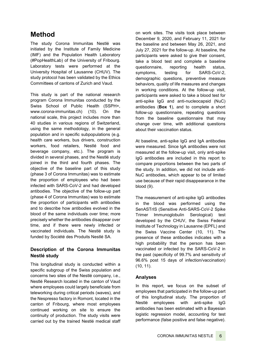# **Method**

The study Corona Immunitas Nestlé was initiated by the Institute of Family Medicine (IMF) and the Population Health Laboratory (#PopHealthLab) of the University of Fribourg. Laboratory tests were performed at the University Hospital of Lausanne (CHUV). The study protocol has been validated by the Ethics Committees of cantons of Zurich and Vaud.

This study is part of the national research program Corona Immunitas conducted by the Swiss School of Public Health (SSPH+, [www.corona-immunitas.ch\)](https://www.corona-immunitas.ch/en/) (10). On the national scale, this project includes more than 40 studies in various regions of Switzerland, using the same methodology, in the general population and in specific subpopulations (e.g. health care workers, bus drivers, construction workers, food retailers, Nestlé food and beverage company, etc.). The program is divided in several phases, and the Nestlé study joined in the third and fourth phases. The objective of the baseline part of this study (phase 3 of Corona Immunitas) was to estimate the proportion of employees who had been infected with SARS-CoV-2 and had developed antibodies. The objective of the follow-up part (phase 4 of Corona Immunitas) was to estimate the proportion of participants with antibodies and to describe how antibodies evolved in the blood of the same individuals over time; more precisely whether the antibodies disappear over time, and if there were newly infected or vaccinated individuals. The Nestlé study is funded by Société des Produits Nestlé SA.

## **Description of the Corona Immunitas Nestlé study**

This longitudinal study is conducted within a specific subgroup of the Swiss population and concerns two sites of the Nestlé company, i.e., Nestlé Research located in the canton of Vaud where employees could largely beneficiate from teleworking during critical periods (waves), and the Nespresso factory in Romont, located in the canton of Fribourg, where most employees continued working on site to ensure the continuity of production. The study visits were carried out by the trained Nestlé medical staff

on work sites. The visits took place between December 9, 2020, and February 11, 2021 for the baseline and between May 26, 2021, and July 27, 2021 for the follow-up. At baseline, the participants were asked to give their consent, take a blood test and complete a baseline questionnaire, reporting health status, symptoms, testing for SARS-CoV-2, demographic questions, preventive measure behaviors, quality of life measures and changes in working conditions. At the follow-up visit, participants were asked to take a blood test for anti-spike IgG and anti-nucleocapsid (NuC) antibodies (**Box 1**), and to complete a short follow-up questionnaire, repeating questions from the baseline questionnaire that may change over time, with additional questions about their vaccination status.

At baseline, anti-spike IgG and IgA antibodies were measured. Since IgA antibodies were not measured at the follow-up visit, only anti-spike IgG antibodies are included in this report to compare proportions between the two parts of the study. In addition, we did not include anti-NuC antibodies, which appear to be of limited use because of their rapid disappearance in the blood (9).

The measurement of anti-spike IgG antibodies in the blood was performed using the SenASTrIS (Sensitive Anti-SARS-CoV-2 Spike Trimer Immunoglobulin Serological) test developed by the CHUV, the Swiss Federal Institute of Technology in Lausanne (EPFL) and the Swiss Vaccine Center (10, 11). The presence of these antibodies indicates with a high probability that the person has been vaccinated or infected by the SARS-CoV-2 in the past (specificity of 99.7% and sensitivity of 96.6% post 15 days of infection/vaccination) (10, 11).

### **Analyses**

In this report, we focus on the subset of employees that participated in the follow-up part of this longitudinal study. The proportion of Nestlé employees with anti-spike IgG antibodies has been estimated with a Bayesian logistic regression model, accounting for test performance (false positive and false negative).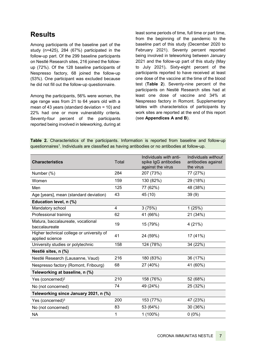# **Results**

Among participants of the baseline part of the study (n=425), 284 (67%) participated in the follow-up part. Of the 299 baseline participants on Nestlé Research sites, 216 joined the followup (72%). Of the 128 baseline participants of Nespresso factory, 68 joined the follow-up (53%). One participant was excluded because he did not fill out the follow-up questionnaire.

Among the participants, 56% were women, the age range was from 21 to 64 years old with a mean of 43 years (standard deviation = 10) and 22% had one or more vulnerability criteria. Seventy-four percent of the participants reported being involved in teleworking, during at

least some periods of time, full time or part time, from the beginning of the pandemic to the baseline part of this study (December 2020 to February 2021). Seventy percent reported being involved in teleworking between January 2021 and the follow-up part of this study (May to July 2021)**.** Sixty-eight percent of the participants reported to have received at least one dose of the vaccine at the time of the blood test (**Table 2**). Seventy-nine percent of the participants on Nestlé Research sites had at least one dose of vaccine and 34% at Nespresso factory in Romont. Supplementary tables with characteristics of participants by work sites are reported at the end of this report (see **Appendices A and B**).

**Table 2.** Characteristics of the participants. Information is reported from baseline and follow-up questionnaires1. Individuals are classified as having antibodies or no antibodies at follow-up.

| <b>Characteristics</b>                                       | Total | Individuals with anti-<br>spike IgG antibodies<br>against the virus | Individuals without<br>antibodies against<br>the virus |
|--------------------------------------------------------------|-------|---------------------------------------------------------------------|--------------------------------------------------------|
| Number (%)                                                   | 284   | 207 (73%)                                                           | 77 (27%)                                               |
| Women                                                        | 159   | 130 (82%)                                                           | 29 (18%)                                               |
| Men                                                          | 125   | 77 (62%)                                                            | 48 (38%)                                               |
| Age [years], mean (standard deviation)                       | 43    | 45 (10)                                                             | 39(9)                                                  |
| Education level, n (%)                                       |       |                                                                     |                                                        |
| Mandatory school                                             | 4     | 3(75%)                                                              | 1(25%)                                                 |
| Professional training                                        | 62    | 41 (66%)                                                            | 21 (34%)                                               |
| Matura, baccalaureate, vocational<br>baccalaureate           | 19    | 15 (79%)                                                            | 4(21%)                                                 |
| Higher technical college or university of<br>applied science | 41    | 24 (59%)                                                            | 17 (41%)                                               |
| University studies or polytechnic                            | 158   | 124 (78%)                                                           | 34 (22%)                                               |
| Nestlé sites, n (%)                                          |       |                                                                     |                                                        |
| Nestlé Research (Lausanne, Vaud)                             | 216   | 180 (83%)                                                           | 36 (17%)                                               |
| Nespresso factory (Romont, Fribourg)                         | 68    | 27 (40%)                                                            | 41 (60%)                                               |
| Teleworking at baseline, n (%)                               |       |                                                                     |                                                        |
| Yes (concerned) <sup>2</sup>                                 | 210   | 158 (76%)                                                           | 52 (68%)                                               |
| No (not concerned)                                           | 74    | 49 (24%)                                                            | 25 (32%)                                               |
| Teleworking since January 2021, n (%)                        |       |                                                                     |                                                        |
| Yes (concerned) <sup>3</sup>                                 | 200   | 153 (77%)                                                           | 47 (23%)                                               |
| No (not concerned)                                           | 83    | 53 (64%)                                                            | 30 (36%)                                               |
| <b>NA</b>                                                    | 1     | $1(100\%)$                                                          | $0(0\%)$                                               |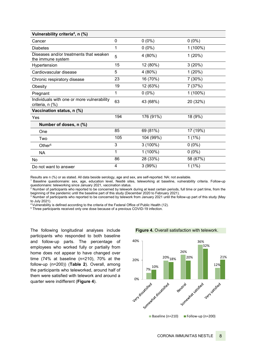| Vulnerability criteria <sup>4</sup> , n (%)                   |              |            |          |  |
|---------------------------------------------------------------|--------------|------------|----------|--|
| Cancer                                                        | $\mathbf{0}$ | $0(0\%)$   | $0(0\%)$ |  |
| <b>Diabetes</b>                                               | 1            | $0(0\%)$   | 1 (100%) |  |
| Diseases and/or treatments that weaken<br>the immune system   | 5            | 4 (80%)    | 1(20%)   |  |
| Hypertension                                                  | 15           | 12 (80%)   | 3(20%)   |  |
| Cardiovascular disease                                        | 5            | 4 (80%)    | 1(20%)   |  |
| Chronic respiratory disease                                   | 23           | 16 (70%)   | 7 (30%)  |  |
| Obesity                                                       | 19           | 12 (63%)   | 7(37%)   |  |
| Pregnant                                                      | 1            | $0(0\%)$   | 1 (100%) |  |
| Individuals with one or more vulnerability<br>criteria, n (%) | 63           | 43 (68%)   | 20 (32%) |  |
| Vaccination status, n (%)                                     |              |            |          |  |
| Yes                                                           | 194          | 176 (91%)  | 18 (9%)  |  |
| Number of doses, n (%)                                        |              |            |          |  |
| One                                                           | 85           | 69 (81%)   | 17 (19%) |  |
| Two                                                           | 105          | 104 (99%)  | $1(1\%)$ |  |
| Other <sup>5</sup>                                            | 3            | $3(100\%)$ | $0(0\%)$ |  |
| <b>NA</b>                                                     | 1            | $1(100\%)$ | $0(0\%)$ |  |
| No                                                            | 86           | 28 (33%)   | 58 (67%) |  |
| Do not want to answer                                         | 4            | 3(99%)     | $1(1\%)$ |  |

Results are n (%) or as stated. All data beside serology, age and sex, are self-reported. NA: not available.

 $^{\rm 1}$  Baseline questionnaire: sex, age, education level, Nestlé sites, teleworking at baseline, vulnerability criteria. Follow-up questionnaire: teleworking since January 2021, vaccination status.

<sup>2</sup> Number of participants who reported to be concerned by telework during at least certain periods, full time or part time, from the beginning of the pandemic until the baseline part of this study (December 2020 to February 2021).

<sup>3</sup> Number of participants who reported to be concerned by telework from January 2021 until the follow-up part of this study (May to July 2021).

<sup>4</sup> Vulnerability is defined according to the criteria of the Federal Office of Public Health (12).

<sup>5</sup> Three participants received only one dose because of a previous COVID-19 infection.

The following longitudinal analyses include participants who responded to both baseline and follow-up parts. The percentage of employees who worked fully or partially from home does not appear to have changed over time (74% at baseline (n=210), 70% at the follow-up (n=200)) (**Table 2**). Overall, among the participants who teleworked, around half of them were satisfied with telework and around a quarter were indifferent (**Figure 4**).

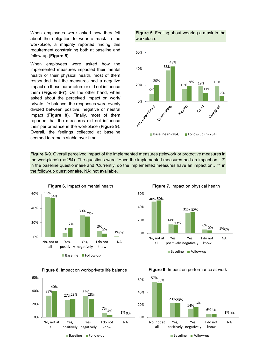When employees were asked how they felt about the obligation to wear a mask in the workplace, a majority reported finding this requirement constraining both at baseline and follow-up (**Figure 5**).

When employees were asked how the implemented measures impacted their mental health or their physical health, most of them responded that the measures had a negative impact on these parameters or did not influence them (**Figure 6-7**). On the other hand, when asked about the perceived impact on work/ private life balance, the responses were evenly divided between positive, negative or neutral impact (**Figure 8**). Finally, most of them reported that the measures did not influence their performance in the workplace (**Figure 9**). Overall, the feelings collected at baseline seemed to remain stable over time.

**Figure 6-9.** Overall perceived impact of the implemented measures (telework or protective measures in the follow-up questionnaire. NA: not available.







**Figure 5.** Feeling about wearing a mask in the workplace.



the workplace) (n=284). The questions were "Have the implemented measures had an impact on…?" in the baseline questionnaire and "Currently, do the implemented measures have an impact on…?" in





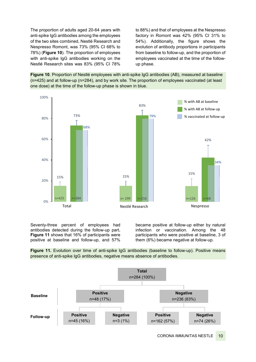The proportion of adults aged 20-64 years with anti-spike IgG antibodies among the employees of the two sites combined, Nestlé Research and Nespresso Romont, was 73% (95% CI 68% to 78%) (**Figure 10**). The proportion of employees with anti-spike IgG antibodies working on the Nestlé Research sites was 83% (95% CI 78%

to 88%) and that of employees at the Nespresso factory in Romont was 42% (95% CI 31% to 54%). Additionally, the figure shows the evolution of antibody proportions in participants from baseline to follow-up, and the proportion of employees vaccinated at the time of the followup phase.

**Figure 10**. Proportion of Nestlé employees with anti-spike IgG antibodies (AB), measured at baseline (n=425) and at follow-up (n=284), and by work site. The proportion of employees vaccinated (at least one dose) at the time of the follow-up phase is shown in blue.



Seventy-three percent of employees had antibodies detected during the follow-up part**. Figure 11** shows that 16% of participants were positive at baseline and follow-up, and 57% became positive at follow-up either by natural infection or vaccination. Among the 48 participants who were positive at baseline, 3 of them (6%) became negative at follow-up.



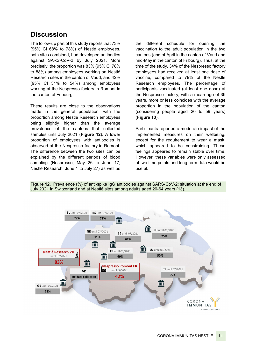# **Discussion**

The follow-up part of this study reports that 73% (95% CI 68% to 78%) of Nestlé employees, both sites combined, had developed antibodies against SARS-CoV-2 by July 2021. More precisely, the proportion was 83% (95% CI 78% to 88%) among employees working on Nestlé Research sites in the canton of Vaud, and 42% (95% CI 31% to 54%) among employees working at the Nespresso factory in Romont in the canton of Fribourg.

These results are close to the observations made in the general population, with the proportion among Nestlé Research employees being slightly higher than the average prevalence of the cantons that collected samples until July 2021 (**Figure 12**). A lower proportion of employees with antibodies is observed at the Nespresso factory in Romont. The difference between the two sites can be explained by the different periods of blood sampling (Nespresso, May 26 to June 17; Nestlé Research, June 1 to July 27) as well as

the different schedule for opening the vaccination to the adult population in the two cantons (end of April in the canton of Vaud and mid-May in the canton of Fribourg). Thus, at the time of the study, 34% of the Nespresso factory employees had received at least one dose of vaccine, compared to 79% of the Nestlé Research employees. The percentage of participants vaccinated (at least one dose) at the Nespresso factory, with a mean age of 39 years, more or less coincides with the average proportion in the population of the canton (considering people aged 20 to 59 years) (**Figure 13**).

Participants reported a moderate impact of the implemented measures on their wellbeing, except for the requirement to wear a mask, which appeared to be constraining. These feelings appeared to remain stable over time. However, these variables were only assessed at two time points and long-term data would be useful.

**Figure 12.** Prevalence (%) of anti-spike IgG antibodies against SARS-CoV-2: situation at the end of July 2021 in Switzerland and at Nestlé sites among adults aged 20-64 years (13).

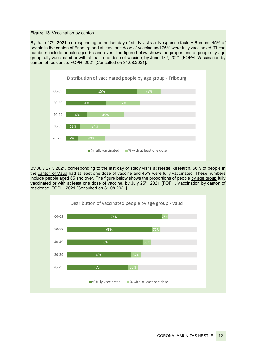**Figure 13. Vaccination by canton.** 

By June 17th, 2021, corresponding to the last day of study visits at Nespresso factory Romont, 45% of people in the canton of Fribourg had at least one dose of vaccine and 25% were fully vaccinated. These numbers include people aged 65 and over. The figure below shows the proportions of people by age group fully vaccinated or with at least one dose of vaccine, by June 13<sup>th</sup>, 2021 (FOPH. Vaccination by canton of residence. FOPH; 2021 [Consulted on 31.08.2021].



By July 27<sup>th</sup>, 2021, corresponding to the last day of study visits at Nestlé Research, 56% of people in the canton of Vaud had at least one dose of vaccine and 45% were fully vaccinated. These numbers include people aged 65 and over. The figure below shows the proportions of people by age group fully vaccinated or with at least one dose of vaccine, by July 25<sup>th</sup>, 2021 (FOPH. Vaccination by canton of residence. FOPH; 2021 [Consulted on 31.08.2021].

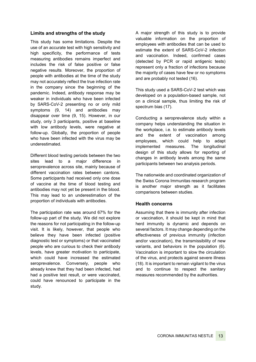#### **Limits and strengths of the study**

This study has some limitations. Despite the use of an accurate test with high sensitivity and high specificity, the performance of tests measuring antibodies remains imperfect and includes the risk of false positive or false negative results. Moreover, the proportion of people with antibodies at the time of the study may not accurately reflect the true infection rate in the company since the beginning of the pandemic. Indeed, antibody response may be weaker in individuals who have been infected by SARS-CoV-2 presenting no or only mild symptoms (9, 14) and antibodies may disappear over time (9, 15). However, in our study, only 3 participants, positive at baseline with low antibody levels, were negative at follow-up. Globally, the proportion of people who have been infected with the virus may be underestimated.

Different blood testing periods between the two sites lead to a major difference in seroprevalence across site, mainly because of different vaccination rates between cantons. Some participants had received only one dose of vaccine at the time of blood testing and antibodies may not yet be present in the blood. This may lead to an underestimation of the proportion of individuals with antibodies.

The participation rate was around 67% for the follow-up part of the study. We did not explore the reasons for not participating in the follow-up visit. It is likely, however, that people who believe they have been infected (positive diagnostic test or symptoms) or that vaccinated people who are curious to check their antibody levels, have greater motivation to participate, which could have increased the estimated seroprevalence. Conversely, people who already knew that they had been infected, had had a positive test result, or were vaccinated, could have renounced to participate in the study.

A major strength of this study is to provide valuable information on the proportion of employees with antibodies that can be used to estimate the extent of SARS-CoV-2 infection and vaccination. Indeed, confirmed cases (detected by PCR or rapid antigenic tests) represent only a fraction of infections because the majority of cases have few or no symptoms and are probably not tested (16).

This study used a SARS-CoV-2 test which was developed on a population-based sample, not on a clinical sample, thus limiting the risk of spectrum bias (17).

Conducting a seroprevalence study within a company helps understanding the situation in the workplace, i.e. to estimate antibody levels and the extent of vaccination among employees, which could help to adapt implemented measures. The longitudinal design of this study allows for reporting of changes in antibody levels among the same participants between two analysis periods.

The nationwide and coordinated organization of the Swiss Corona Immunitas research program is another major strength as it facilitates comparisons between studies.

#### **Health concerns**

Assuming that there is immunity after infection or vaccination, it should be kept in mind that herd immunity is dynamic and depends on several factors. It may change depending on the effectiveness of previous immunity (infection and/or vaccination), the transmissibility of new variants, and behaviors in the population (6). Vaccination is important to slow the circulation of the virus, and protects against severe illness (18). It is important to remain vigilant to the virus and to continue to respect the sanitary measures recommended by the authorities.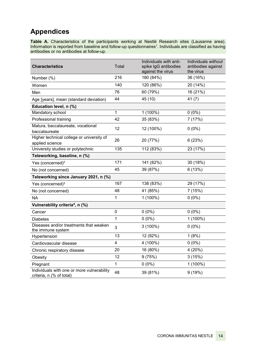# **Appendices**

**Table A.** Characteristics of the participants working at Nestlé Research sites (Lausanne area). Information is reported from baseline and follow-up questionnaires<sup>1</sup>. Individuals are classified as having antibodies or no antibodies at follow-up.

| <b>Characteristics</b>                                                 | Total                   | Individuals with anti-<br>spike IgG antibodies<br>against the virus | Individuals without<br>antibodies against<br>the virus |
|------------------------------------------------------------------------|-------------------------|---------------------------------------------------------------------|--------------------------------------------------------|
| Number (%)                                                             | 216                     | 180 (84%)                                                           | 36 (16%)                                               |
| Women                                                                  | 140                     | 120 (86%)                                                           | 20 (14%)                                               |
| Men                                                                    | 76                      | 60 (79%)                                                            | 16 (21%)                                               |
| Age [years], mean (standard deviation)                                 | 44                      | 45 (10)                                                             | 41 $(7)$                                               |
| Education level, n (%)                                                 |                         |                                                                     |                                                        |
| Mandatory school                                                       | 1                       | 1 (100%)                                                            | $0(0\%)$                                               |
| Professional training                                                  | 42                      | 35 (83%)                                                            | 7 (17%)                                                |
| Matura, baccalaureate, vocational<br>baccalaureate                     | 12                      | 12 (100%)                                                           | $0(0\%)$                                               |
| Higher technical college or university of<br>applied science           | 26                      | 20 (77%)                                                            | 6(23%)                                                 |
| University studies or polytechnic                                      | 135                     | 112 (83%)                                                           | 23 (17%)                                               |
| Teleworking, baseline, n (%)                                           |                         |                                                                     |                                                        |
| Yes (concerned) <sup>2</sup>                                           | 171                     | 141 (82%)                                                           | 30 (18%)                                               |
| No (not concerned)                                                     | 45                      | 39 (87%)                                                            | 6(13%)                                                 |
| Teleworking since January 2021, n (%)                                  |                         |                                                                     |                                                        |
| Yes (concerned) <sup>3</sup>                                           | 167                     | 138 (83%)                                                           | 29 (17%)                                               |
| No (not concerned)                                                     | 48                      | 41 (85%)                                                            | 7(15%)                                                 |
| <b>NA</b>                                                              | 1                       | 1 (100%)                                                            | $0(0\%)$                                               |
| Vulnerability criteria <sup>4</sup> , n (%)                            |                         |                                                                     |                                                        |
| Cancer                                                                 | $\mathbf 0$             | $0(0\%)$                                                            | $0(0\%)$                                               |
| Diabetes                                                               | 1                       | $0(0\%)$                                                            | 1 (100%)                                               |
| Diseases and/or treatments that weaken<br>the immune system            | 3                       | $3(100\%)$                                                          | $0(0\%)$                                               |
| Hypertension                                                           | 13                      | 12 (92%)                                                            | 1(8%)                                                  |
| Cardiovascular disease                                                 | $\overline{\mathbf{4}}$ | 4 (100%)                                                            | $0(0\%)$                                               |
| Chronic respiratory disease                                            | 20                      | 16 (80%)                                                            | 4 (20%)                                                |
| Obesity                                                                | 12                      | 9(75%)                                                              | 3(15%)                                                 |
| Pregnant                                                               | $\mathbf{1}$            | $0(0\%)$                                                            | $1(100\%)$                                             |
| Individuals with one or more vulnerability<br>criteria, n (% of total) | 48                      | 39 (81%)                                                            | 9(19%)                                                 |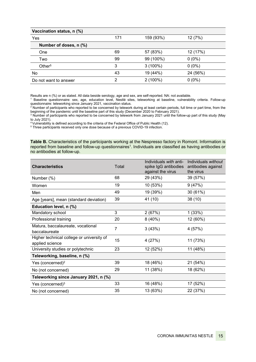| Vaccination status, n (%) |     |            |          |
|---------------------------|-----|------------|----------|
| Yes                       | 171 | 159 (93%)  | 12 (7%)  |
| Number of doses, n (%)    |     |            |          |
| One                       | 69  | 57 (83%)   | 12 (17%) |
| Two                       | 99  | 99 (100%)  | $0(0\%)$ |
| Other $5$                 | 3   | $3(100\%)$ | $0(0\%)$ |
| No                        | 43  | 19 (44%)   | 24 (56%) |
| Do not want to answer     | ◠   | $2(100\%)$ | $0(0\%)$ |

Results are n (%) or as stated. All data beside serology, age and sex, are self-reported. NA: not available.

<sup>1</sup> Baseline questionnaire: sex, age, education level, Nestlé sites, teleworking at baseline, vulnerability criteria. Follow-up questionnaire: teleworking since January 2021, vaccination status.

<sup>2</sup> Number of participants who reported to be concerned by telework during at least certain periods, full time or part time, from the beginning of the pandemic until the baseline part of this study (December 2020 to February 2021).

 $^3$  Number of participants who reported to be concerned by telework from January 2021 until the follow-up part of this study (May to July 2021).

4 Vulnerability is defined according to the criteria of the Federal Office of Public Health (12).

<sup>5</sup> Three participants received only one dose because of a previous COVID-19 infection.

Table B. Characteristics of the participants working at the Nespresso factory in Romont. Information is reported from baseline and follow-up questionnaires<sup>1</sup>. Individuals are classified as having antibodies or no antibodies at follow-up.

| <b>Characteristics</b>                                       | Total          | Individuals with anti-<br>spike IgG antibodies<br>against the virus | Individuals without<br>antibodies against<br>the virus |
|--------------------------------------------------------------|----------------|---------------------------------------------------------------------|--------------------------------------------------------|
| Number (%)                                                   | 68             | 29 (43%)                                                            | 39 (57%)                                               |
| Women                                                        | 19             | 10 (53%)                                                            | 9(47%)                                                 |
| Men                                                          | 49             | 19 (39%)                                                            | 30 (61%)                                               |
| Age [years], mean (standard deviation)                       | 39             | 41 (10)                                                             | 38(10)                                                 |
| Education level, n (%)                                       |                |                                                                     |                                                        |
| Mandatory school                                             | 3              | 2(67%)                                                              | 1(33%)                                                 |
| Professional training                                        | 20             | 8(40%)                                                              | 12 (60%)                                               |
| Matura, baccalaureate, vocational<br>baccalaureate           | $\overline{7}$ | 3(43%)                                                              | 4 (57%)                                                |
| Higher technical college or university of<br>applied science | 15             | 4 (27%)                                                             | 11 (73%)                                               |
| University studies or polytechnic                            | 23             | 12 (52%)                                                            | 11 (48%)                                               |
| Teleworking, baseline, n (%)                                 |                |                                                                     |                                                        |
| Yes (concerned) <sup>2</sup>                                 | 39             | 18 (46%)                                                            | 21 (54%)                                               |
| No (not concerned)                                           | 29             | 11 (38%)                                                            | 18 (62%)                                               |
| Teleworking since January 2021, n (%)                        |                |                                                                     |                                                        |
| Yes (concerned) $3$                                          | 33             | 16 (48%)                                                            | 17 (52%)                                               |
| No (not concerned)                                           | 35             | 13 (63%)                                                            | 22 (37%)                                               |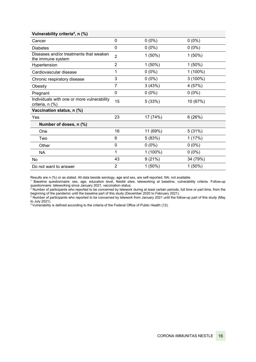| $\mathbf{0}$   | $0(0\%)$  | $0(0\%)$   |
|----------------|-----------|------------|
| $\mathbf 0$    | $0(0\%)$  | $0(0\%)$   |
| $\overline{2}$ | $1(50\%)$ | $1(50\%)$  |
| $\overline{2}$ | $1(50\%)$ | $1(50\%)$  |
| 1              | $0(0\%)$  | $1(100\%)$ |
| 3              | $0(0\%)$  | $3(100\%)$ |
| 7              | 3(43%)    | 4 (57%)    |
| $\mathbf{0}$   | $0(0\%)$  | $0(0\%)$   |
| 15             | 5(33%)    | 10 (67%)   |
|                |           |            |
| 23             | 17 (74%)  | 6(26%)     |
|                |           |            |
| 16             | 11 (69%)  | 5(31%)     |
| 6              | 5(83%)    | 1(17%)     |
| $\mathbf 0$    | $0(0\%)$  | $0(0\%)$   |
| 1              | 1 (100%)  | $0(0\%)$   |
| 43             | 9(21%)    | 34 (79%)   |
| $\overline{2}$ | $1(50\%)$ | $1(50\%)$  |
|                |           |            |

Results are n (%) or as stated. All data beside serology, age and sex, are self-reported. NA: not available.

 $^{\rm 1}$  Baseline questionnaire: sex, age, education level, Nestlé sites, teleworking at baseline, vulnerability criteria. Follow-up questionnaire: teleworking since January 2021, vaccination status.

 $^{\rm 2}$  Number of participants who reported to be concerned by telework during at least certain periods, full time or part time, from the beginning of the pandemic until the baseline part of this study (December 2020 to February 2021).

 $^3$  Number of participants who reported to be concerned by telework from January 2021 until the follow-up part of this study (May to July 2021).

4 Vulnerability is defined according to the criteria of the Federal Office of Public Health (12).